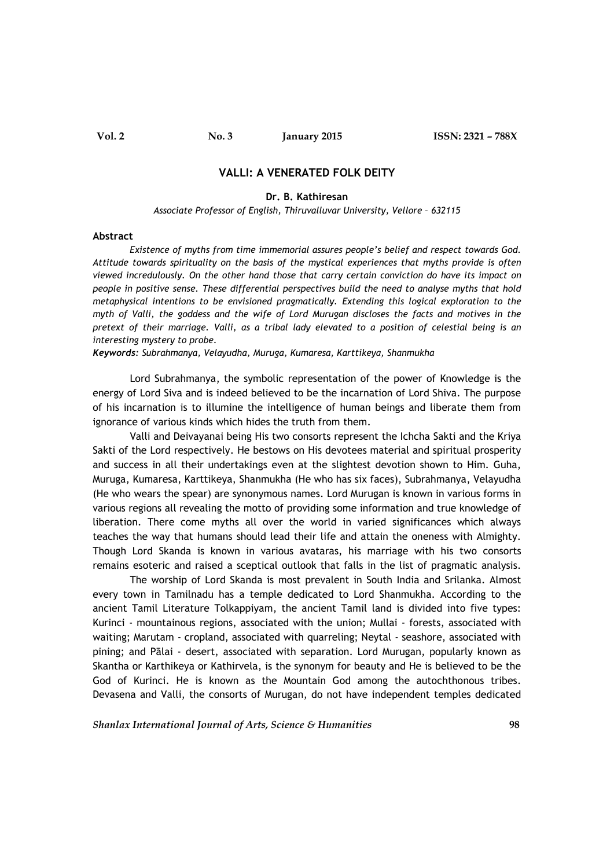## **VALLI: A VENERATED FOLK DEITY**

## **Dr. B. Kathiresan**

*Associate Professor of English, Thiruvalluvar University, Vellore – 632115*

#### **Abstract**

*Existence of myths from time immemorial assures people's belief and respect towards God. Attitude towards spirituality on the basis of the mystical experiences that myths provide is often viewed incredulously. On the other hand those that carry certain conviction do have its impact on people in positive sense. These differential perspectives build the need to analyse myths that hold metaphysical intentions to be envisioned pragmatically. Extending this logical exploration to the myth of Valli, the goddess and the wife of Lord Murugan discloses the facts and motives in the pretext of their marriage. Valli, as a tribal lady elevated to a position of celestial being is an interesting mystery to probe.*

*Keywords: Subrahmanya, Velayudha, Muruga, Kumaresa, Karttikeya, Shanmukha*

Lord Subrahmanya, the symbolic representation of the power of Knowledge is the energy of Lord Siva and is indeed believed to be the incarnation of Lord Shiva. The purpose of his incarnation is to illumine the intelligence of human beings and liberate them from ignorance of various kinds which hides the truth from them.

Valli and Deivayanai being His two consorts represent the Ichcha Sakti and the Kriya Sakti of the Lord respectively. He bestows on His devotees material and spiritual prosperity and success in all their undertakings even at the slightest devotion shown to Him. Guha, Muruga, Kumaresa, Karttikeya, Shanmukha (He who has six faces), Subrahmanya, Velayudha (He who wears the spear) are synonymous names. Lord Murugan is known in various forms in various regions all revealing the motto of providing some information and true knowledge of liberation. There come myths all over the world in varied significances which always teaches the way that humans should lead their life and attain the oneness with Almighty. Though Lord Skanda is known in various avataras, his marriage with his two consorts remains esoteric and raised a sceptical outlook that falls in the list of pragmatic analysis.

The worship of Lord Skanda is most prevalent in South India and Srilanka. Almost every town in Tamilnadu has a temple dedicated to Lord Shanmukha. According to the ancient Tamil Literature Tolkappiyam, the ancient Tamil land is divided into five types: Kurinci - mountainous regions, associated with the union; Mullai - forests, associated with waiting; Marutam - cropland, associated with quarreling; Neytal - seashore, associated with pining; and Pālai - desert, associated with separation. Lord Murugan, popularly known as Skantha or Karthikeya or Kathirvela, is the synonym for beauty and He is believed to be the God of Kurinci. He is known as the Mountain God among the autochthonous tribes. Devasena and Valli, the consorts of Murugan, do not have independent temples dedicated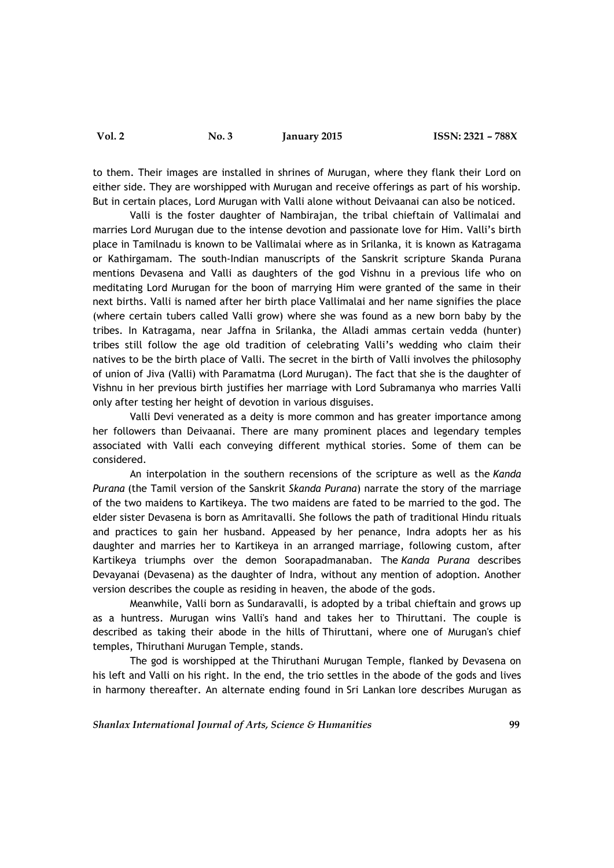to them. Their images are installed in shrines of Murugan, where they flank their Lord on either side. They are worshipped with Murugan and receive offerings as part of his worship. But in certain places, Lord Murugan with Valli alone without Deivaanai can also be noticed.

Valli is the foster daughter of Nambirajan, the tribal chieftain of Vallimalai and marries Lord Murugan due to the intense devotion and passionate love for Him. Valli's birth place in Tamilnadu is known to be Vallimalai where as in Srilanka, it is known as Katragama or Kathirgamam. The south-Indian manuscripts of the Sanskrit scripture Skanda Purana mentions Devasena and Valli as daughters of the god Vishnu in a previous life who on meditating Lord Murugan for the boon of marrying Him were granted of the same in their next births. Valli is named after her birth place Vallimalai and her name signifies the place (where certain tubers called Valli grow) where she was found as a new born baby by the tribes. In Katragama, near Jaffna in Srilanka, the Alladi ammas certain vedda (hunter) tribes still follow the age old tradition of celebrating Valli's wedding who claim their natives to be the birth place of Valli. The secret in the birth of Valli involves the philosophy of union of Jiva (Valli) with Paramatma (Lord Murugan). The fact that she is the daughter of Vishnu in her previous birth justifies her marriage with Lord Subramanya who marries Valli only after testing her height of devotion in various disguises.

Valli Devi venerated as a deity is more common and has greater importance among her followers than Deivaanai. There are many prominent places and legendary temples associated with Valli each conveying different mythical stories. Some of them can be considered.

An interpolation in the southern recensions of the scripture as well as the *Kanda Purana* (the Tamil version of the Sanskrit *Skanda Purana*) narrate the story of the marriage of the two maidens to Kartikeya. The two maidens are fated to be married to the god. The elder sister Devasena is born as Amritavalli. She follows the path of traditional Hindu rituals and practices to gain her husband. Appeased by her penance, Indra adopts her as his daughter and marries her to Kartikeya in an arranged marriage, following custom, after Kartikeya triumphs over the demon Soorapadmanaban. The *Kanda Purana* describes Devayanai (Devasena) as the daughter of Indra, without any mention of adoption. Another version describes the couple as residing in heaven, the abode of the gods.

Meanwhile, Valli born as Sundaravalli, is adopted by a tribal chieftain and grows up as a huntress. Murugan wins Valli's hand and takes her to Thiruttani. The couple is described as taking their abode in the hills of Thiruttani, where one of Murugan's chief temples, Thiruthani Murugan Temple, stands.

The god is worshipped at the Thiruthani Murugan Temple, flanked by Devasena on his left and Valli on his right. In the end, the trio settles in the abode of the gods and lives in harmony thereafter. An alternate ending found in Sri Lankan lore describes Murugan as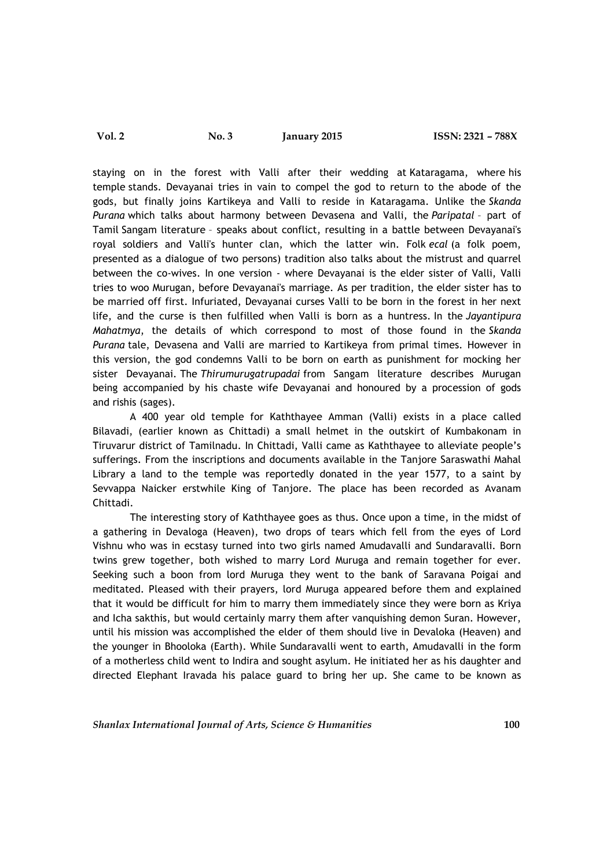staying on in the forest with Valli after their wedding at Kataragama, where his temple stands. Devayanai tries in vain to compel the god to return to the abode of the gods, but finally joins Kartikeya and Valli to reside in Kataragama. Unlike the *Skanda Purana* which talks about harmony between Devasena and Valli, the *Paripatal* – part of Tamil Sangam literature – speaks about conflict, resulting in a battle between Devayanai's royal soldiers and Valli's hunter clan, which the latter win. Folk *ecal* (a folk poem, presented as a dialogue of two persons) tradition also talks about the mistrust and quarrel between the co-wives. In one version - where Devayanai is the elder sister of Valli, Valli tries to woo Murugan, before Devayanai's marriage. As per tradition, the elder sister has to be married off first. Infuriated, Devayanai curses Valli to be born in the forest in her next life, and the curse is then fulfilled when Valli is born as a huntress. In the *Jayantipura Mahatmya*, the details of which correspond to most of those found in the *Skanda Purana* tale, Devasena and Valli are married to Kartikeya from primal times. However in this version, the god condemns Valli to be born on earth as punishment for mocking her sister Devayanai. The *Thirumurugatrupadai* from Sangam literature describes Murugan being accompanied by his chaste wife Devayanai and honoured by a procession of gods and rishis (sages).

A 400 year old temple for Kaththayee Amman (Valli) exists in a place called Bilavadi, (earlier known as Chittadi) a small helmet in the outskirt of Kumbakonam in Tiruvarur district of Tamilnadu. In Chittadi, Valli came as Kaththayee to alleviate people's sufferings. From the inscriptions and documents available in the Tanjore Saraswathi Mahal Library a land to the temple was reportedly donated in the year 1577, to a saint by Sevvappa Naicker erstwhile King of Tanjore. The place has been recorded as Avanam Chittadi.

The interesting story of Kaththayee goes as thus. Once upon a time, in the midst of a gathering in Devaloga (Heaven), two drops of tears which fell from the eyes of Lord Vishnu who was in ecstasy turned into two girls named Amudavalli and Sundaravalli. Born twins grew together, both wished to marry Lord Muruga and remain together for ever. Seeking such a boon from lord Muruga they went to the bank of Saravana Poigai and meditated. Pleased with their prayers, lord Muruga appeared before them and explained that it would be difficult for him to marry them immediately since they were born as Kriya and Icha sakthis, but would certainly marry them after vanquishing demon Suran. However, until his mission was accomplished the elder of them should live in Devaloka (Heaven) and the younger in Bhooloka (Earth). While Sundaravalli went to earth, Amudavalli in the form of a motherless child went to Indira and sought asylum. He initiated her as his daughter and directed Elephant Iravada his palace guard to bring her up. She came to be known as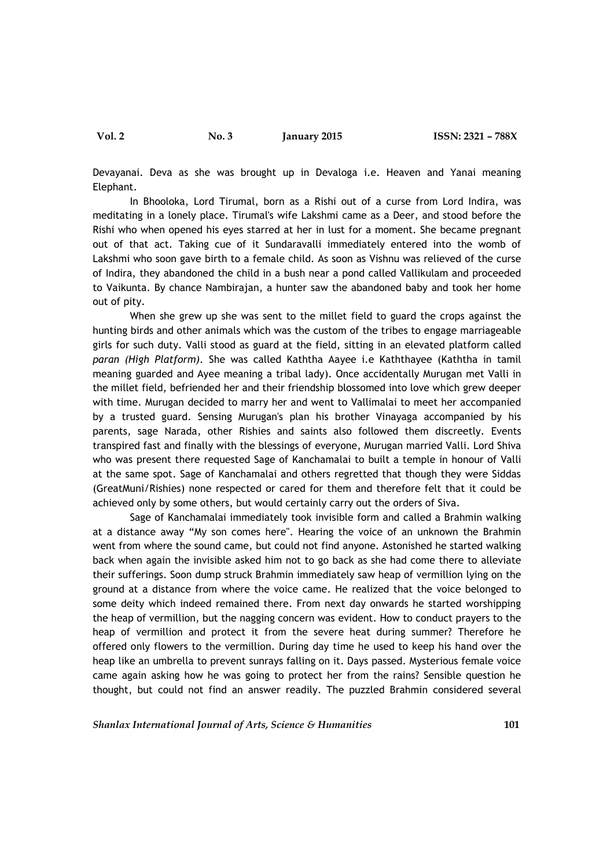Devayanai. Deva as she was brought up in Devaloga i.e. Heaven and Yanai meaning Elephant.

In Bhooloka, Lord Tirumal, born as a Rishi out of a curse from Lord Indira, was meditating in a lonely place. Tirumal's wife Lakshmi came as a Deer, and stood before the Rishi who when opened his eyes starred at her in lust for a moment. She became pregnant out of that act. Taking cue of it Sundaravalli immediately entered into the womb of Lakshmi who soon gave birth to a female child. As soon as Vishnu was relieved of the curse of Indira, they abandoned the child in a bush near a pond called Vallikulam and proceeded to Vaikunta. By chance Nambirajan, a hunter saw the abandoned baby and took her home out of pity.

When she grew up she was sent to the millet field to guard the crops against the hunting birds and other animals which was the custom of the tribes to engage marriageable girls for such duty. Valli stood as guard at the field, sitting in an elevated platform called *paran (High Platform)*. She was called Kaththa Aayee i.e Kaththayee (Kaththa in tamil meaning guarded and Ayee meaning a tribal lady). Once accidentally Murugan met Valli in the millet field, befriended her and their friendship blossomed into love which grew deeper with time. Murugan decided to marry her and went to Vallimalai to meet her accompanied by a trusted guard. Sensing Murugan's plan his brother Vinayaga accompanied by his parents, sage Narada, other Rishies and saints also followed them discreetly. Events transpired fast and finally with the blessings of everyone, Murugan married Valli. Lord Shiva who was present there requested Sage of Kanchamalai to built a temple in honour of Valli at the same spot. Sage of Kanchamalai and others regretted that though they were Siddas (GreatMuni/Rishies) none respected or cared for them and therefore felt that it could be achieved only by some others, but would certainly carry out the orders of Siva.

Sage of Kanchamalai immediately took invisible form and called a Brahmin walking at a distance away "My son comes here". Hearing the voice of an unknown the Brahmin went from where the sound came, but could not find anyone. Astonished he started walking back when again the invisible asked him not to go back as she had come there to alleviate their sufferings. Soon dump struck Brahmin immediately saw heap of vermillion lying on the ground at a distance from where the voice came. He realized that the voice belonged to some deity which indeed remained there. From next day onwards he started worshipping the heap of vermillion, but the nagging concern was evident. How to conduct prayers to the heap of vermillion and protect it from the severe heat during summer? Therefore he offered only flowers to the vermillion. During day time he used to keep his hand over the heap like an umbrella to prevent sunrays falling on it. Days passed. Mysterious female voice came again asking how he was going to protect her from the rains? Sensible question he thought, but could not find an answer readily. The puzzled Brahmin considered several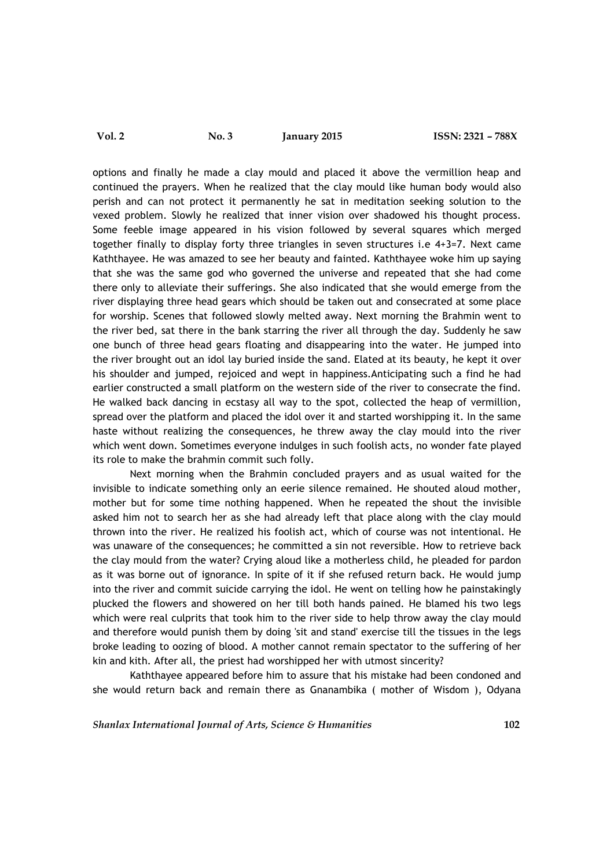options and finally he made a clay mould and placed it above the vermillion heap and continued the prayers. When he realized that the clay mould like human body would also perish and can not protect it permanently he sat in meditation seeking solution to the vexed problem. Slowly he realized that inner vision over shadowed his thought process. Some feeble image appeared in his vision followed by several squares which merged together finally to display forty three triangles in seven structures i.e 4+3=7. Next came Kaththayee. He was amazed to see her beauty and fainted. Kaththayee woke him up saying that she was the same god who governed the universe and repeated that she had come there only to alleviate their sufferings. She also indicated that she would emerge from the river displaying three head gears which should be taken out and consecrated at some place for worship. Scenes that followed slowly melted away. Next morning the Brahmin went to the river bed, sat there in the bank starring the river all through the day. Suddenly he saw one bunch of three head gears floating and disappearing into the water. He jumped into the river brought out an idol lay buried inside the sand. Elated at its beauty, he kept it over his shoulder and jumped, rejoiced and wept in happiness.Anticipating such a find he had earlier constructed a small platform on the western side of the river to consecrate the find. He walked back dancing in ecstasy all way to the spot, collected the heap of vermillion, spread over the platform and placed the idol over it and started worshipping it. In the same haste without realizing the consequences, he threw away the clay mould into the river which went down. Sometimes everyone indulges in such foolish acts, no wonder fate played its role to make the brahmin commit such folly.

Next morning when the Brahmin concluded prayers and as usual waited for the invisible to indicate something only an eerie silence remained. He shouted aloud mother, mother but for some time nothing happened. When he repeated the shout the invisible asked him not to search her as she had already left that place along with the clay mould thrown into the river. He realized his foolish act, which of course was not intentional. He was unaware of the consequences; he committed a sin not reversible. How to retrieve back the clay mould from the water? Crying aloud like a motherless child, he pleaded for pardon as it was borne out of ignorance. In spite of it if she refused return back. He would jump into the river and commit suicide carrying the idol. He went on telling how he painstakingly plucked the flowers and showered on her till both hands pained. He blamed his two legs which were real culprits that took him to the river side to help throw away the clay mould and therefore would punish them by doing 'sit and stand' exercise till the tissues in the legs broke leading to oozing of blood. A mother cannot remain spectator to the suffering of her kin and kith. After all, the priest had worshipped her with utmost sincerity?

Kaththayee appeared before him to assure that his mistake had been condoned and she would return back and remain there as Gnanambika ( mother of Wisdom ), Odyana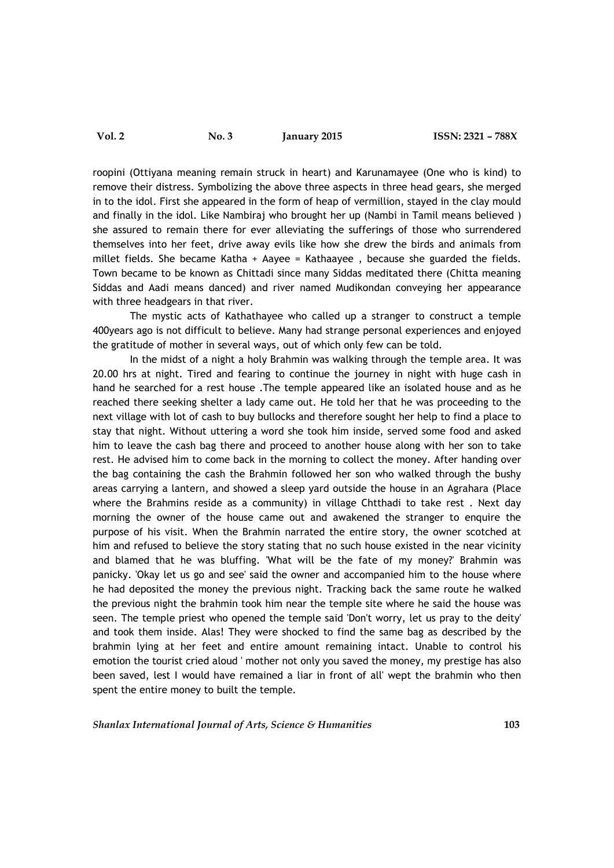roopini (Ottiyana meaning remain struck in heart) and Karunamayee (One who is kind) to remove their distress. Symbolizing the above three aspects in three head gears, she merged in to the idol. First she appeared in the form of heap of vermillion, stayed in the clay mould and finally in the idol. Like Nambiraj who brought her up (Nambi in Tamil means believed ) she assured to remain there for ever alleviating the sufferings of those who surrendered themselves into her feet, drive away evils like how she drew the birds and animals from millet fields. She became Katha + Aayee = Kathaayee , because she guarded the fields. Town became to be known as Chittadi since many Siddas meditated there (Chitta meaning Siddas and Aadi means danced) and river named Mudikondan conveying her appearance with three headgears in that river.

The mystic acts of Kathathayee who called up a stranger to construct a temple 400years ago is not difficult to believe. Many had strange personal experiences and enjoyed the gratitude of mother in several ways, out of which only few can be told.

In the midst of a night a holy Brahmin was walking through the temple area. It was 20.00 hrs at night. Tired and fearing to continue the journey in night with huge cash in hand he searched for a rest house .The temple appeared like an isolated house and as he reached there seeking shelter a lady came out. He told her that he was proceeding to the next village with lot of cash to buy bullocks and therefore sought her help to find a place to stay that night. Without uttering a word she took him inside, served some food and asked him to leave the cash bag there and proceed to another house along with her son to take rest. He advised him to come back in the morning to collect the money. After handing over the bag containing the cash the Brahmin followed her son who walked through the bushy areas carrying a lantern, and showed a sleep yard outside the house in an Agrahara (Place where the Brahmins reside as a community) in village Chtthadi to take rest . Next day morning the owner of the house came out and awakened the stranger to enquire the purpose of his visit. When the Brahmin narrated the entire story, the owner scotched at him and refused to believe the story stating that no such house existed in the near vicinity and blamed that he was bluffing. 'What will be the fate of my money?' Brahmin was panicky. 'Okay let us go and see' said the owner and accompanied him to the house where he had deposited the money the previous night. Tracking back the same route he walked the previous night the brahmin took him near the temple site where he said the house was seen. The temple priest who opened the temple said 'Don't worry, let us pray to the deity' and took them inside. Alas! They were shocked to find the same bag as described by the brahmin lying at her feet and entire amount remaining intact. Unable to control his emotion the tourist cried aloud ' mother not only you saved the money, my prestige has also been saved, lest I would have remained a liar in front of all' wept the brahmin who then spent the entire money to built the temple.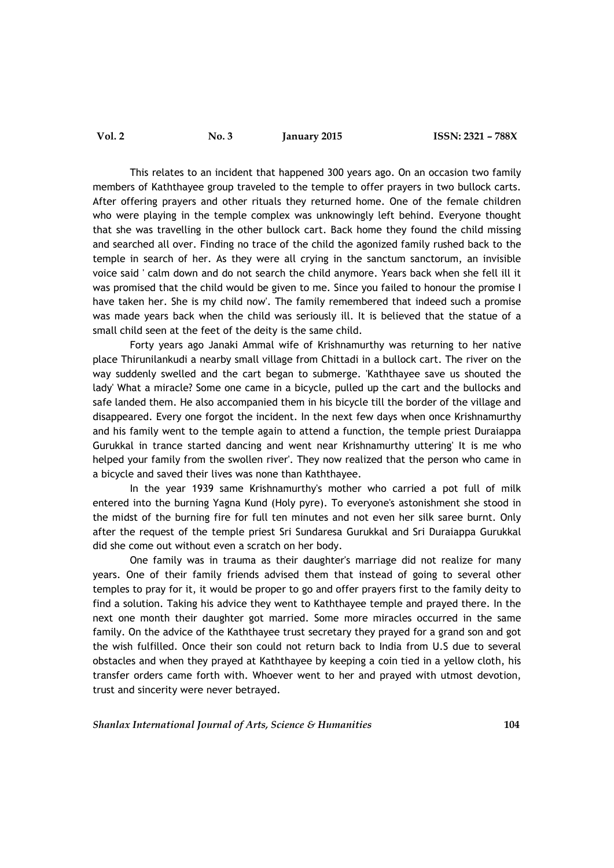# **Vol. 2 No. 3 January 2015 ISSN: 2321 – 788X**

This relates to an incident that happened 300 years ago. On an occasion two family members of Kaththayee group traveled to the temple to offer prayers in two bullock carts. After offering prayers and other rituals they returned home. One of the female children who were playing in the temple complex was unknowingly left behind. Everyone thought that she was travelling in the other bullock cart. Back home they found the child missing and searched all over. Finding no trace of the child the agonized family rushed back to the temple in search of her. As they were all crying in the sanctum sanctorum, an invisible voice said ' calm down and do not search the child anymore. Years back when she fell ill it was promised that the child would be given to me. Since you failed to honour the promise I have taken her. She is my child now'. The family remembered that indeed such a promise was made years back when the child was seriously ill. It is believed that the statue of a small child seen at the feet of the deity is the same child.

Forty years ago Janaki Ammal wife of Krishnamurthy was returning to her native place Thirunilankudi a nearby small village from Chittadi in a bullock cart. The river on the way suddenly swelled and the cart began to submerge. 'Kaththayee save us shouted the lady' What a miracle? Some one came in a bicycle, pulled up the cart and the bullocks and safe landed them. He also accompanied them in his bicycle till the border of the village and disappeared. Every one forgot the incident. In the next few days when once Krishnamurthy and his family went to the temple again to attend a function, the temple priest Duraiappa Gurukkal in trance started dancing and went near Krishnamurthy uttering' It is me who helped your family from the swollen river'. They now realized that the person who came in a bicycle and saved their lives was none than Kaththayee.

In the year 1939 same Krishnamurthy's mother who carried a pot full of milk entered into the burning Yagna Kund (Holy pyre). To everyone's astonishment she stood in the midst of the burning fire for full ten minutes and not even her silk saree burnt. Only after the request of the temple priest Sri Sundaresa Gurukkal and Sri Duraiappa Gurukkal did she come out without even a scratch on her body.

One family was in trauma as their daughter's marriage did not realize for many years. One of their family friends advised them that instead of going to several other temples to pray for it, it would be proper to go and offer prayers first to the family deity to find a solution. Taking his advice they went to Kaththayee temple and prayed there. In the next one month their daughter got married. Some more miracles occurred in the same family. On the advice of the Kaththayee trust secretary they prayed for a grand son and got the wish fulfilled. Once their son could not return back to India from U.S due to several obstacles and when they prayed at Kaththayee by keeping a coin tied in a yellow cloth, his transfer orders came forth with. Whoever went to her and prayed with utmost devotion, trust and sincerity were never betrayed.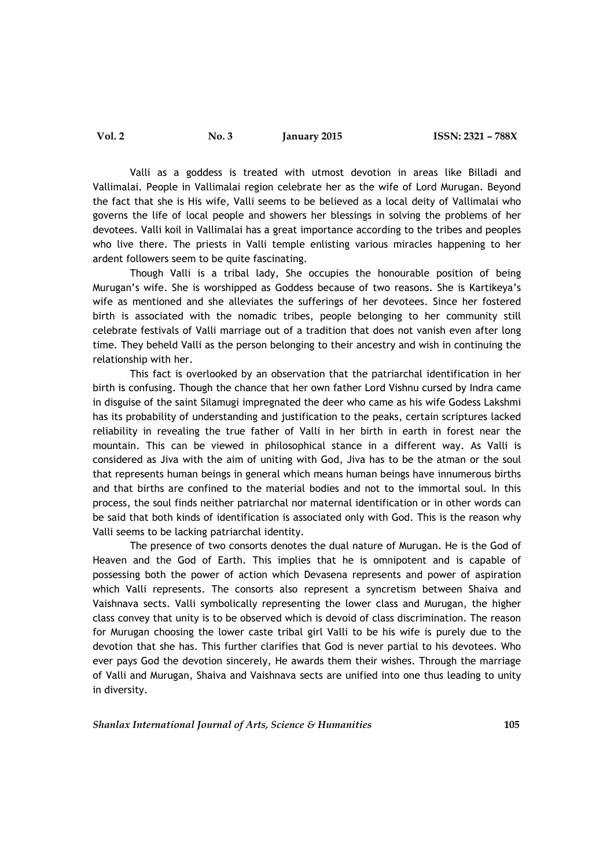Valli as a goddess is treated with utmost devotion in areas like Billadi and Vallimalai. People in Vallimalai region celebrate her as the wife of Lord Murugan. Beyond the fact that she is His wife, Valli seems to be believed as a local deity of Vallimalai who governs the life of local people and showers her blessings in solving the problems of her devotees. Valli koil in Vallimalai has a great importance according to the tribes and peoples who live there. The priests in Valli temple enlisting various miracles happening to her ardent followers seem to be quite fascinating.

Though Valli is a tribal lady, She occupies the honourable position of being Murugan's wife. She is worshipped as Goddess because of two reasons. She is Kartikeya's wife as mentioned and she alleviates the sufferings of her devotees. Since her fostered birth is associated with the nomadic tribes, people belonging to her community still celebrate festivals of Valli marriage out of a tradition that does not vanish even after long time. They beheld Valli as the person belonging to their ancestry and wish in continuing the relationship with her.

This fact is overlooked by an observation that the patriarchal identification in her birth is confusing. Though the chance that her own father Lord Vishnu cursed by Indra came in disguise of the saint Silamugi impregnated the deer who came as his wife Godess Lakshmi has its probability of understanding and justification to the peaks, certain scriptures lacked reliability in revealing the true father of Valli in her birth in earth in forest near the mountain. This can be viewed in philosophical stance in a different way. As Valli is considered as Jiva with the aim of uniting with God, Jiva has to be the atman or the soul that represents human beings in general which means human beings have innumerous births and that births are confined to the material bodies and not to the immortal soul. In this process, the soul finds neither patriarchal nor maternal identification or in other words can be said that both kinds of identification is associated only with God. This is the reason why Valli seems to be lacking patriarchal identity.

The presence of two consorts denotes the dual nature of Murugan. He is the God of Heaven and the God of Earth. This implies that he is omnipotent and is capable of possessing both the power of action which Devasena represents and power of aspiration which Valli represents. The consorts also represent a syncretism between Shaiva and Vaishnava sects. Valli symbolically representing the lower class and Murugan, the higher class convey that unity is to be observed which is devoid of class discrimination. The reason for Murugan choosing the lower caste tribal girl Valli to be his wife is purely due to the devotion that she has. This further clarifies that God is never partial to his devotees. Who ever pays God the devotion sincerely, He awards them their wishes. Through the marriage of Valli and Murugan, Shaiva and Vaishnava sects are unified into one thus leading to unity in diversity.